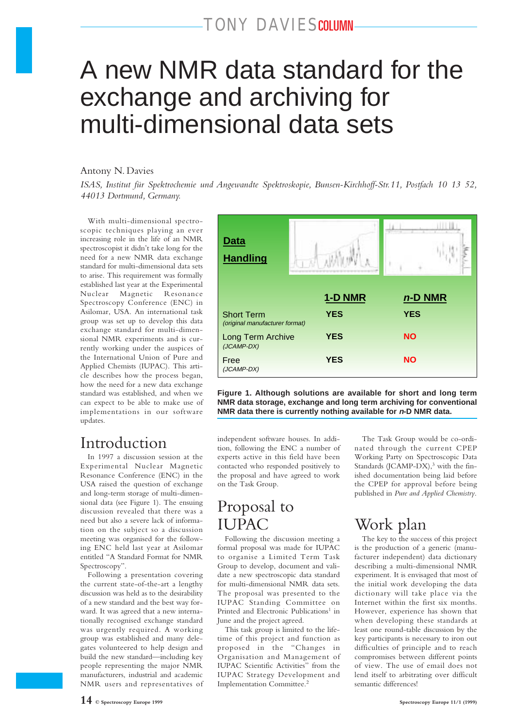# A new NMR data standard for the exchange and archiving for multi-dimensional data sets

#### Antony N. Davies

*ISAS, Institut für Spektrochemie und Angewandte Spektroskopie, Bunsen-Kirchhoff-Str.11, Postfach 10 13 52, 44013 Dortmund, Germany.*

With multi-dimensional spectroscopic techniques playing an ever increasing role in the life of an NMR spectroscopist it didn't take long for the need for a new NMR data exchange standard for multi-dimensional data sets to arise. This requirement was formally established last year at the Experimental Nuclear Magnetic Resonance Spectroscopy Conference (ENC) in Asilomar, USA. An international task group was set up to develop this data exchange standard for multi-dimensional NMR experiments and is currently working under the auspices of the International Union of Pure and Applied Chemists (IUPAC). This article describes how the process began, how the need for a new data exchange standard was established, and when we can expect to be able to make use of implementations in our software updates.

### Introduction

In 1997 a discussion session at the Experimental Nuclear Magnetic Resonance Conference (ENC) in the USA raised the question of exchange and long-term storage of multi-dimensional data (see Figure 1). The ensuing discussion revealed that there was a need but also a severe lack of information on the subject so a discussion meeting was organised for the following ENC held last year at Asilomar entitled "A Standard Format for NMR Spectroscopy".

Following a presentation covering the current state-of-the-art a lengthy discussion was held as to the desirability of a new standard and the best way forward. It was agreed that a new internationally recognised exchange standard was urgently required. A working group was established and many delegates volunteered to help design and build the new standard—including key people representing the major NMR manufacturers, industrial and academic NMR users and representatives of



**Figure 1. Although solutions are available for short and long term NMR data storage, exchange and long term archiving for conventional NMR data there is currently nothing available for n-D NMR data.**

independent software houses. In addition, following the ENC a number of experts active in this field have been contacted who responded positively to the proposal and have agreed to work on the Task Group.

# Proposal to IUPAC

Following the discussion meeting a formal proposal was made for IUPAC to organise a Limited Term Task Group to develop, document and validate a new spectroscopic data standard for multi-dimensional NMR data sets. The proposal was presented to the IUPAC Standing Committee on Printed and Electronic Publications<sup>1</sup> in June and the project agreed.

This task group is limited to the lifetime of this project and function as proposed in the "Changes in Organisation and Management of IUPAC Scientific Activities" from the IUPAC Strategy Development and Implementation Committee.2

The Task Group would be co-ordinated through the current CPEP Working Party on Spectroscopic Data Standards (JCAMP-DX), $3$  with the finished documentation being laid before the CPEP for approval before being published in *Pure and Applied Chemistry*.

# Work plan

The key to the success of this project is the production of a generic (manufacturer independent) data dictionary describing a multi-dimensional NMR experiment. It is envisaged that most of the initial work developing the data dictionary will take place via the Internet within the first six months. However, experience has shown that when developing these standards at least one round-table discussion by the key participants is necessary to iron out difficulties of principle and to reach compromises between different points of view. The use of email does not lend itself to arbitrating over difficult semantic differences!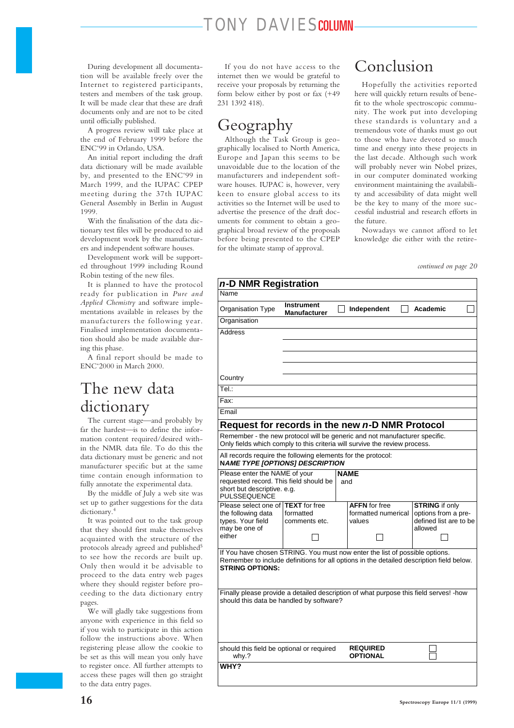During development all documentation will be available freely over the Internet to registered participants, testers and members of the task group. It will be made clear that these are draft documents only and are not to be cited until officially published.

A progress review will take place at the end of February 1999 before the ENC'99 in Orlando, USA.

An initial report including the draft data dictionary will be made available by, and presented to the ENC'99 in March 1999, and the IUPAC CPEP meeting during the 37th IUPAC General Assembly in Berlin in August 1999.

With the finalisation of the data dictionary test files will be produced to aid development work by the manufacturers and independent software houses.

Development work will be supported throughout 1999 including Round Robin testing of the new files.

It is planned to have the protocol ready for publication in *Pure and Applied Chemistry* and software implementations available in releases by the manufacturers the following year. Finalised implementation documentation should also be made available during this phase.

A final report should be made to ENC'2000 in March 2000.

## The new data dictionary

The current stage—and probably by far the hardest—is to define the information content required/desired within the NMR data file. To do this the data dictionary must be generic and not manufacturer specific but at the same time contain enough information to fully annotate the experimental data.

By the middle of July a web site was set up to gather suggestions for the data dictionary.4

It was pointed out to the task group that they should first make themselves acquainted with the structure of the protocols already agreed and published<sup>5</sup> to see how the records are built up. Only then would it be advisable to proceed to the data entry web pages where they should register before proceeding to the data dictionary entry pages.

We will gladly take suggestions from anyone with experience in this field so if you wish to participate in this action follow the instructions above. When registering please allow the cookie to be set as this will mean you only have to register once. All further attempts to access these pages will then go straight to the data entry pages.

If you do not have access to the internet then we would be grateful to receive your proposals by returning the form below either by post or fax (+49 231 1392 418).

### Geography

Although the Task Group is geographically localised to North America, Europe and Japan this seems to be unavoidable due to the location of the manufacturers and independent software houses. IUPAC is, however, very keen to ensure global access to its activities so the Internet will be used to advertise the presence of the draft documents for comment to obtain a geographical broad review of the proposals before being presented to the CPEP for the ultimate stamp of approval.

# Conclusion

Hopefully the activities reported here will quickly return results of benefit to the whole spectroscopic community. The work put into developing these standards is voluntary and a tremendous vote of thanks must go out to those who have devoted so much time and energy into these projects in the last decade. Although such work will probably never win Nobel prizes, in our computer dominated working environment maintaining the availability and accessibility of data might well be the key to many of the more successful industrial and research efforts in the future.

Nowadays we cannot afford to let knowledge die either with the retire-

| continued on page 20 |  |  |  |
|----------------------|--|--|--|
|----------------------|--|--|--|

| n-D NMR Registration                                                                                   |                                               |  |                                                                                          |                                               |  |  |
|--------------------------------------------------------------------------------------------------------|-----------------------------------------------|--|------------------------------------------------------------------------------------------|-----------------------------------------------|--|--|
| Name                                                                                                   |                                               |  |                                                                                          |                                               |  |  |
| Organisation Type                                                                                      | <b>Instrument</b><br><b>Manufacturer</b>      |  | Independent                                                                              | Academic                                      |  |  |
| Organisation                                                                                           |                                               |  |                                                                                          |                                               |  |  |
| <b>Address</b>                                                                                         |                                               |  |                                                                                          |                                               |  |  |
|                                                                                                        |                                               |  |                                                                                          |                                               |  |  |
|                                                                                                        |                                               |  |                                                                                          |                                               |  |  |
|                                                                                                        |                                               |  |                                                                                          |                                               |  |  |
| Country                                                                                                |                                               |  |                                                                                          |                                               |  |  |
| Tel.:                                                                                                  |                                               |  |                                                                                          |                                               |  |  |
| Fax:                                                                                                   |                                               |  |                                                                                          |                                               |  |  |
| Email                                                                                                  |                                               |  |                                                                                          |                                               |  |  |
|                                                                                                        |                                               |  | Request for records in the new n-D NMR Protocol                                          |                                               |  |  |
| Remember - the new protocol will be generic and not manufacturer specific.                             |                                               |  |                                                                                          |                                               |  |  |
|                                                                                                        |                                               |  | Only fields which comply to this criteria will survive the review process.               |                                               |  |  |
| All records require the following elements for the protocol:<br><b>NAME TYPE [OPTIONS] DESCRIPTION</b> |                                               |  |                                                                                          |                                               |  |  |
| Please enter the NAME of your                                                                          |                                               |  | <b>NAME</b>                                                                              |                                               |  |  |
| short but descriptive. e.g.                                                                            | requested record. This field should be<br>and |  |                                                                                          |                                               |  |  |
| PULSSEQUENCE                                                                                           |                                               |  |                                                                                          |                                               |  |  |
| Please select one of                                                                                   | <b>TEXT</b> for free                          |  | <b>AFFN</b> for free                                                                     | <b>STRING</b> if only                         |  |  |
| the following data<br>types. Your field                                                                | formatted<br>comments etc.                    |  | formatted numerical<br>values                                                            | options from a pre-<br>defined list are to be |  |  |
| may be one of                                                                                          |                                               |  |                                                                                          | allowed                                       |  |  |
| either                                                                                                 |                                               |  |                                                                                          |                                               |  |  |
|                                                                                                        |                                               |  | If You have chosen STRING. You must now enter the list of possible options.              |                                               |  |  |
|                                                                                                        |                                               |  | Remember to include definitions for all options in the detailed description field below. |                                               |  |  |
| <b>STRING OPTIONS:</b>                                                                                 |                                               |  |                                                                                          |                                               |  |  |
|                                                                                                        |                                               |  |                                                                                          |                                               |  |  |
|                                                                                                        |                                               |  | Finally please provide a detailed description of what purpose this field serves! -how    |                                               |  |  |
| should this data be handled by software?                                                               |                                               |  |                                                                                          |                                               |  |  |
|                                                                                                        |                                               |  |                                                                                          |                                               |  |  |
|                                                                                                        |                                               |  |                                                                                          |                                               |  |  |
|                                                                                                        |                                               |  |                                                                                          |                                               |  |  |
| should this field be optional or required                                                              |                                               |  | <b>REQUIRED</b><br><b>OPTIONAL</b>                                                       |                                               |  |  |
| why.?<br><b>WHY?</b>                                                                                   |                                               |  |                                                                                          |                                               |  |  |
|                                                                                                        |                                               |  |                                                                                          |                                               |  |  |
|                                                                                                        |                                               |  |                                                                                          |                                               |  |  |